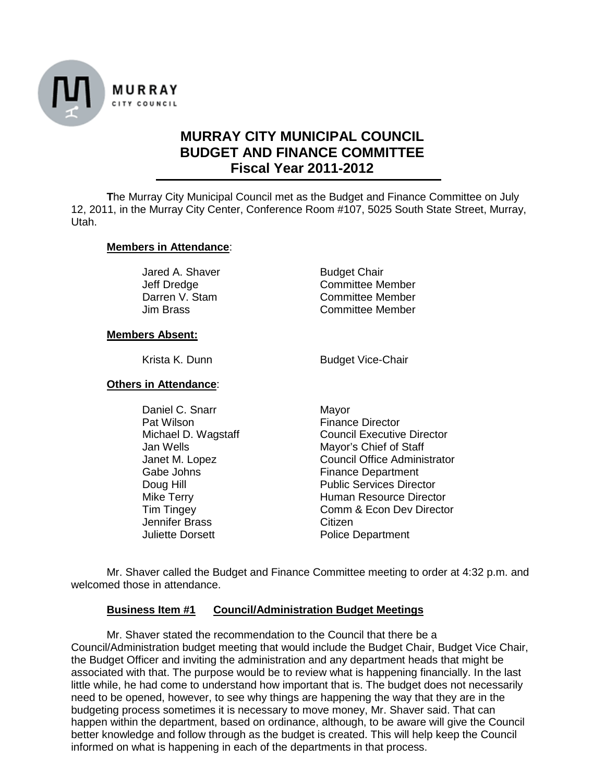

# **MURRAY CITY MUNICIPAL COUNCIL BUDGET AND FINANCE COMMITTEE Fiscal Year 2011-2012**

**T**he Murray City Municipal Council met as the Budget and Finance Committee on July 12, 2011, in the Murray City Center, Conference Room #107, 5025 South State Street, Murray, Utah.

#### **Members in Attendance**:

Jared A. Shaver Budget Chair

Jeff Dredge Committee Member Darren V. Stam Committee Member<br>
Jim Brass Committee Member Committee Member

#### **Members Absent:**

Krista K. Dunn Budget Vice-Chair

**Others in Attendance**:

Daniel C. Snarr Mayor Pat Wilson Finance Director<br>Michael D. Wagstaff Finance Director Jennifer Brass Citizen<br>
Juliette Dorsett Contract Police D

**Council Executive Director** Jan Wells **Mayor's Chief of Staff** Janet M. Lopez Council Office Administrator Gabe Johns **Finance Department** Doug Hill **Doug Hill** Public Services Director Mike Terry **Human Resource Director** Tim Tingey Comm & Econ Dev Director Police Department

Mr. Shaver called the Budget and Finance Committee meeting to order at 4:32 p.m. and welcomed those in attendance.

### **Business Item #1 Council/Administration Budget Meetings**

Mr. Shaver stated the recommendation to the Council that there be a Council/Administration budget meeting that would include the Budget Chair, Budget Vice Chair, the Budget Officer and inviting the administration and any department heads that might be associated with that. The purpose would be to review what is happening financially. In the last little while, he had come to understand how important that is. The budget does not necessarily need to be opened, however, to see why things are happening the way that they are in the budgeting process sometimes it is necessary to move money, Mr. Shaver said. That can happen within the department, based on ordinance, although, to be aware will give the Council better knowledge and follow through as the budget is created. This will help keep the Council informed on what is happening in each of the departments in that process.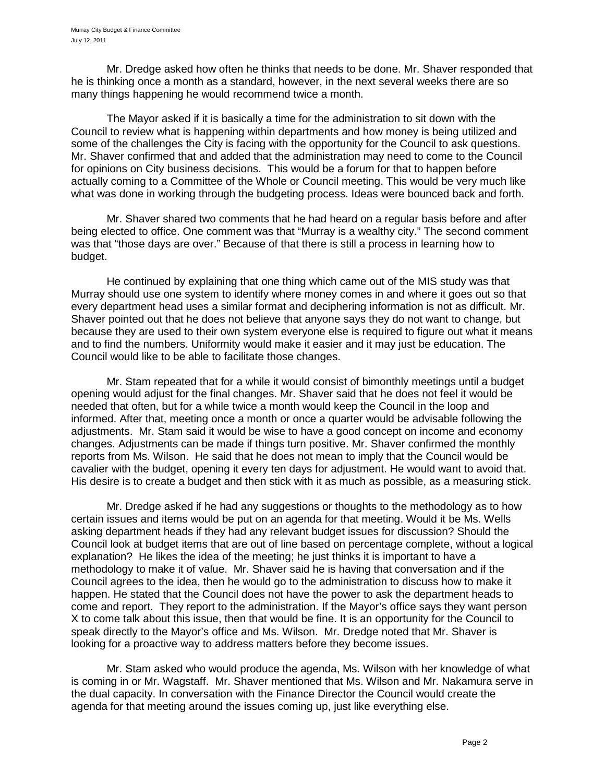Mr. Dredge asked how often he thinks that needs to be done. Mr. Shaver responded that he is thinking once a month as a standard, however, in the next several weeks there are so many things happening he would recommend twice a month.

The Mayor asked if it is basically a time for the administration to sit down with the Council to review what is happening within departments and how money is being utilized and some of the challenges the City is facing with the opportunity for the Council to ask questions. Mr. Shaver confirmed that and added that the administration may need to come to the Council for opinions on City business decisions. This would be a forum for that to happen before actually coming to a Committee of the Whole or Council meeting. This would be very much like what was done in working through the budgeting process. Ideas were bounced back and forth.

Mr. Shaver shared two comments that he had heard on a regular basis before and after being elected to office. One comment was that "Murray is a wealthy city." The second comment was that "those days are over." Because of that there is still a process in learning how to budget.

He continued by explaining that one thing which came out of the MIS study was that Murray should use one system to identify where money comes in and where it goes out so that every department head uses a similar format and deciphering information is not as difficult. Mr. Shaver pointed out that he does not believe that anyone says they do not want to change, but because they are used to their own system everyone else is required to figure out what it means and to find the numbers. Uniformity would make it easier and it may just be education. The Council would like to be able to facilitate those changes.

Mr. Stam repeated that for a while it would consist of bimonthly meetings until a budget opening would adjust for the final changes. Mr. Shaver said that he does not feel it would be needed that often, but for a while twice a month would keep the Council in the loop and informed. After that, meeting once a month or once a quarter would be advisable following the adjustments. Mr. Stam said it would be wise to have a good concept on income and economy changes. Adjustments can be made if things turn positive. Mr. Shaver confirmed the monthly reports from Ms. Wilson. He said that he does not mean to imply that the Council would be cavalier with the budget, opening it every ten days for adjustment. He would want to avoid that. His desire is to create a budget and then stick with it as much as possible, as a measuring stick.

Mr. Dredge asked if he had any suggestions or thoughts to the methodology as to how certain issues and items would be put on an agenda for that meeting. Would it be Ms. Wells asking department heads if they had any relevant budget issues for discussion? Should the Council look at budget items that are out of line based on percentage complete, without a logical explanation? He likes the idea of the meeting; he just thinks it is important to have a methodology to make it of value. Mr. Shaver said he is having that conversation and if the Council agrees to the idea, then he would go to the administration to discuss how to make it happen. He stated that the Council does not have the power to ask the department heads to come and report. They report to the administration. If the Mayor's office says they want person X to come talk about this issue, then that would be fine. It is an opportunity for the Council to speak directly to the Mayor's office and Ms. Wilson. Mr. Dredge noted that Mr. Shaver is looking for a proactive way to address matters before they become issues.

Mr. Stam asked who would produce the agenda, Ms. Wilson with her knowledge of what is coming in or Mr. Wagstaff. Mr. Shaver mentioned that Ms. Wilson and Mr. Nakamura serve in the dual capacity. In conversation with the Finance Director the Council would create the agenda for that meeting around the issues coming up, just like everything else.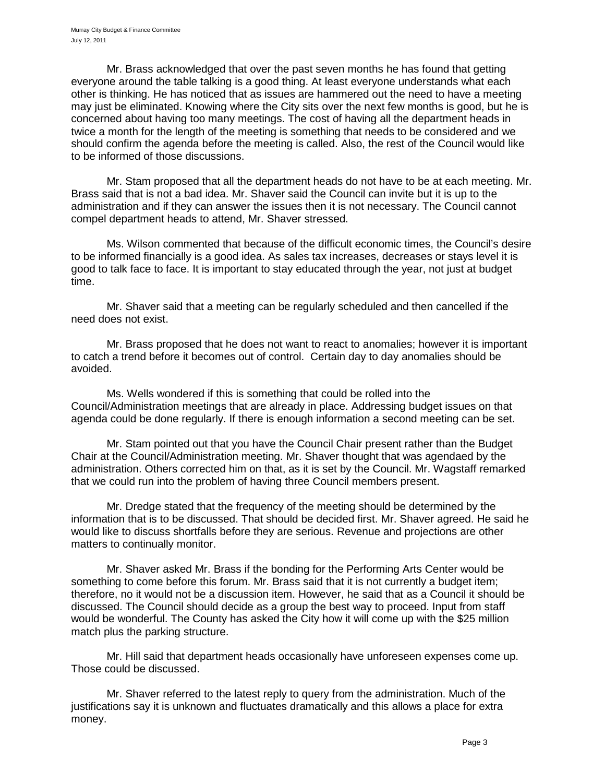Mr. Brass acknowledged that over the past seven months he has found that getting everyone around the table talking is a good thing. At least everyone understands what each other is thinking. He has noticed that as issues are hammered out the need to have a meeting may just be eliminated. Knowing where the City sits over the next few months is good, but he is concerned about having too many meetings. The cost of having all the department heads in twice a month for the length of the meeting is something that needs to be considered and we should confirm the agenda before the meeting is called. Also, the rest of the Council would like to be informed of those discussions.

Mr. Stam proposed that all the department heads do not have to be at each meeting. Mr. Brass said that is not a bad idea. Mr. Shaver said the Council can invite but it is up to the administration and if they can answer the issues then it is not necessary. The Council cannot compel department heads to attend, Mr. Shaver stressed.

Ms. Wilson commented that because of the difficult economic times, the Council's desire to be informed financially is a good idea. As sales tax increases, decreases or stays level it is good to talk face to face. It is important to stay educated through the year, not just at budget time.

Mr. Shaver said that a meeting can be regularly scheduled and then cancelled if the need does not exist.

Mr. Brass proposed that he does not want to react to anomalies; however it is important to catch a trend before it becomes out of control. Certain day to day anomalies should be avoided.

Ms. Wells wondered if this is something that could be rolled into the Council/Administration meetings that are already in place. Addressing budget issues on that agenda could be done regularly. If there is enough information a second meeting can be set.

Mr. Stam pointed out that you have the Council Chair present rather than the Budget Chair at the Council/Administration meeting. Mr. Shaver thought that was agendaed by the administration. Others corrected him on that, as it is set by the Council. Mr. Wagstaff remarked that we could run into the problem of having three Council members present.

Mr. Dredge stated that the frequency of the meeting should be determined by the information that is to be discussed. That should be decided first. Mr. Shaver agreed. He said he would like to discuss shortfalls before they are serious. Revenue and projections are other matters to continually monitor.

Mr. Shaver asked Mr. Brass if the bonding for the Performing Arts Center would be something to come before this forum. Mr. Brass said that it is not currently a budget item; therefore, no it would not be a discussion item. However, he said that as a Council it should be discussed. The Council should decide as a group the best way to proceed. Input from staff would be wonderful. The County has asked the City how it will come up with the \$25 million match plus the parking structure.

Mr. Hill said that department heads occasionally have unforeseen expenses come up. Those could be discussed.

Mr. Shaver referred to the latest reply to query from the administration. Much of the justifications say it is unknown and fluctuates dramatically and this allows a place for extra money.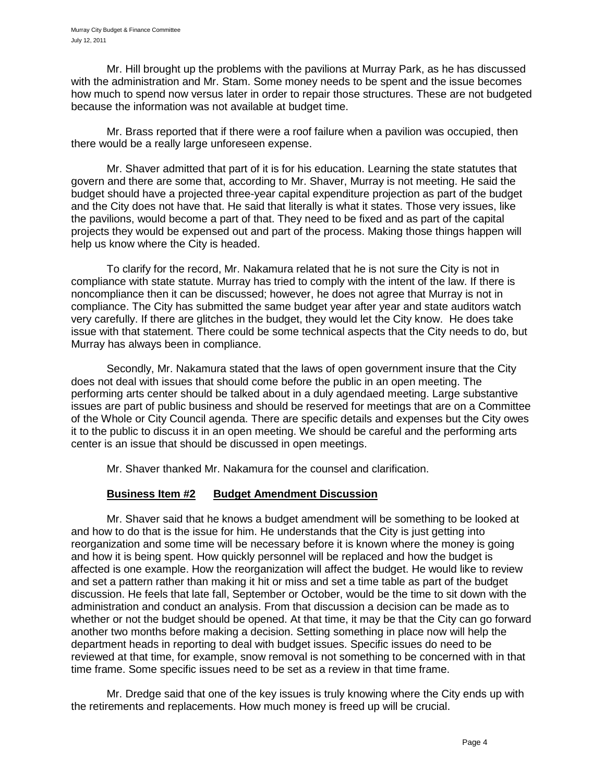Mr. Hill brought up the problems with the pavilions at Murray Park, as he has discussed with the administration and Mr. Stam. Some money needs to be spent and the issue becomes how much to spend now versus later in order to repair those structures. These are not budgeted because the information was not available at budget time.

Mr. Brass reported that if there were a roof failure when a pavilion was occupied, then there would be a really large unforeseen expense.

Mr. Shaver admitted that part of it is for his education. Learning the state statutes that govern and there are some that, according to Mr. Shaver, Murray is not meeting. He said the budget should have a projected three-year capital expenditure projection as part of the budget and the City does not have that. He said that literally is what it states. Those very issues, like the pavilions, would become a part of that. They need to be fixed and as part of the capital projects they would be expensed out and part of the process. Making those things happen will help us know where the City is headed.

To clarify for the record, Mr. Nakamura related that he is not sure the City is not in compliance with state statute. Murray has tried to comply with the intent of the law. If there is noncompliance then it can be discussed; however, he does not agree that Murray is not in compliance. The City has submitted the same budget year after year and state auditors watch very carefully. If there are glitches in the budget, they would let the City know. He does take issue with that statement. There could be some technical aspects that the City needs to do, but Murray has always been in compliance.

Secondly, Mr. Nakamura stated that the laws of open government insure that the City does not deal with issues that should come before the public in an open meeting. The performing arts center should be talked about in a duly agendaed meeting. Large substantive issues are part of public business and should be reserved for meetings that are on a Committee of the Whole or City Council agenda. There are specific details and expenses but the City owes it to the public to discuss it in an open meeting. We should be careful and the performing arts center is an issue that should be discussed in open meetings.

Mr. Shaver thanked Mr. Nakamura for the counsel and clarification.

## **Business Item #2 Budget Amendment Discussion**

Mr. Shaver said that he knows a budget amendment will be something to be looked at and how to do that is the issue for him. He understands that the City is just getting into reorganization and some time will be necessary before it is known where the money is going and how it is being spent. How quickly personnel will be replaced and how the budget is affected is one example. How the reorganization will affect the budget. He would like to review and set a pattern rather than making it hit or miss and set a time table as part of the budget discussion. He feels that late fall, September or October, would be the time to sit down with the administration and conduct an analysis. From that discussion a decision can be made as to whether or not the budget should be opened. At that time, it may be that the City can go forward another two months before making a decision. Setting something in place now will help the department heads in reporting to deal with budget issues. Specific issues do need to be reviewed at that time, for example, snow removal is not something to be concerned with in that time frame. Some specific issues need to be set as a review in that time frame.

Mr. Dredge said that one of the key issues is truly knowing where the City ends up with the retirements and replacements. How much money is freed up will be crucial.